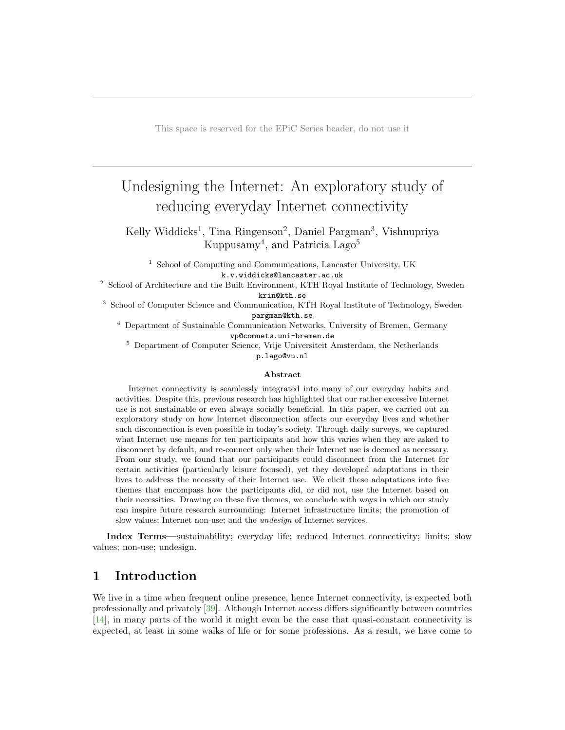This space is reserved for the EPiC Series header, do not use it

# Undesigning the Internet: An exploratory study of reducing everyday Internet connectivity

Kelly Widdicks<sup>1</sup>, Tina Ringenson<sup>2</sup>, Daniel Pargman<sup>3</sup>, Vishnupriya Kuppusamy<sup>4</sup>, and Patricia Lago<sup>5</sup>

<sup>1</sup> School of Computing and Communications, Lancaster University, UK k.v.widdicks@lancaster.ac.uk

<sup>2</sup> School of Architecture and the Built Environment, KTH Royal Institute of Technology, Sweden krin@kth.se

<sup>3</sup> School of Computer Science and Communication, KTH Royal Institute of Technology, Sweden pargman@kth.se

<sup>4</sup> Department of Sustainable Communication Networks, University of Bremen, Germany vp@comnets.uni-bremen.de

<sup>5</sup> Department of Computer Science, Vrije Universiteit Amsterdam, the Netherlands

p.lago@vu.nl

#### Abstract

Internet connectivity is seamlessly integrated into many of our everyday habits and activities. Despite this, previous research has highlighted that our rather excessive Internet use is not sustainable or even always socially beneficial. In this paper, we carried out an exploratory study on how Internet disconnection affects our everyday lives and whether such disconnection is even possible in today's society. Through daily surveys, we captured what Internet use means for ten participants and how this varies when they are asked to disconnect by default, and re-connect only when their Internet use is deemed as necessary. From our study, we found that our participants could disconnect from the Internet for certain activities (particularly leisure focused), yet they developed adaptations in their lives to address the necessity of their Internet use. We elicit these adaptations into five themes that encompass how the participants did, or did not, use the Internet based on their necessities. Drawing on these five themes, we conclude with ways in which our study can inspire future research surrounding: Internet infrastructure limits; the promotion of slow values; Internet non-use; and the undesign of Internet services.

Index Terms—sustainability; everyday life; reduced Internet connectivity; limits; slow values; non-use; undesign.

# 1 Introduction

We live in a time when frequent online presence, hence Internet connectivity, is expected both professionally and privately [\[39\]](#page-13-0). Although Internet access differs significantly between countries [\[14\]](#page-11-0), in many parts of the world it might even be the case that quasi-constant connectivity is expected, at least in some walks of life or for some professions. As a result, we have come to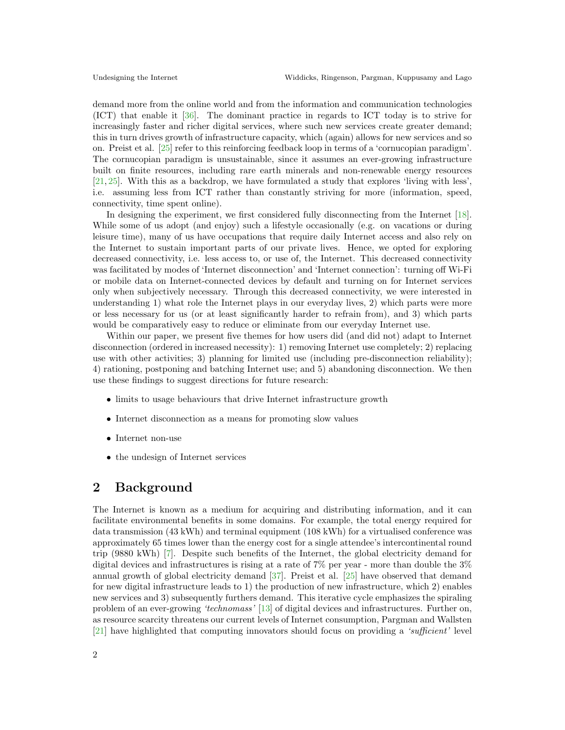demand more from the online world and from the information and communication technologies (ICT) that enable it [\[36\]](#page-12-0). The dominant practice in regards to ICT today is to strive for increasingly faster and richer digital services, where such new services create greater demand; this in turn drives growth of infrastructure capacity, which (again) allows for new services and so on. Preist et al. [\[25\]](#page-12-1) refer to this reinforcing feedback loop in terms of a 'cornucopian paradigm'. The cornucopian paradigm is unsustainable, since it assumes an ever-growing infrastructure built on finite resources, including rare earth minerals and non-renewable energy resources [\[21,](#page-12-2) [25\]](#page-12-1). With this as a backdrop, we have formulated a study that explores 'living with less', i.e. assuming less from ICT rather than constantly striving for more (information, speed, connectivity, time spent online).

In designing the experiment, we first considered fully disconnecting from the Internet [\[18\]](#page-12-3). While some of us adopt (and enjoy) such a lifestyle occasionally (e.g. on vacations or during leisure time), many of us have occupations that require daily Internet access and also rely on the Internet to sustain important parts of our private lives. Hence, we opted for exploring decreased connectivity, i.e. less access to, or use of, the Internet. This decreased connectivity was facilitated by modes of 'Internet disconnection' and 'Internet connection': turning off Wi-Fi or mobile data on Internet-connected devices by default and turning on for Internet services only when subjectively necessary. Through this decreased connectivity, we were interested in understanding 1) what role the Internet plays in our everyday lives, 2) which parts were more or less necessary for us (or at least significantly harder to refrain from), and 3) which parts would be comparatively easy to reduce or eliminate from our everyday Internet use.

Within our paper, we present five themes for how users did (and did not) adapt to Internet disconnection (ordered in increased necessity): 1) removing Internet use completely; 2) replacing use with other activities; 3) planning for limited use (including pre-disconnection reliability); 4) rationing, postponing and batching Internet use; and 5) abandoning disconnection. We then use these findings to suggest directions for future research:

- limits to usage behaviours that drive Internet infrastructure growth
- Internet disconnection as a means for promoting slow values
- Internet non-use
- the undesign of Internet services

### 2 Background

The Internet is known as a medium for acquiring and distributing information, and it can facilitate environmental benefits in some domains. For example, the total energy required for data transmission (43 kWh) and terminal equipment (108 kWh) for a virtualised conference was approximately 65 times lower than the energy cost for a single attendee's intercontinental round trip (9880 kWh) [\[7\]](#page-11-1). Despite such benefits of the Internet, the global electricity demand for digital devices and infrastructures is rising at a rate of 7% per year - more than double the 3% annual growth of global electricity demand [\[37\]](#page-12-4). Preist et al. [\[25\]](#page-12-1) have observed that demand for new digital infrastructure leads to 1) the production of new infrastructure, which 2) enables new services and 3) subsequently furthers demand. This iterative cycle emphasizes the spiraling problem of an ever-growing 'technomass' [\[13\]](#page-11-2) of digital devices and infrastructures. Further on, as resource scarcity threatens our current levels of Internet consumption, Pargman and Wallsten [\[21\]](#page-12-2) have highlighted that computing innovators should focus on providing a 'sufficient' level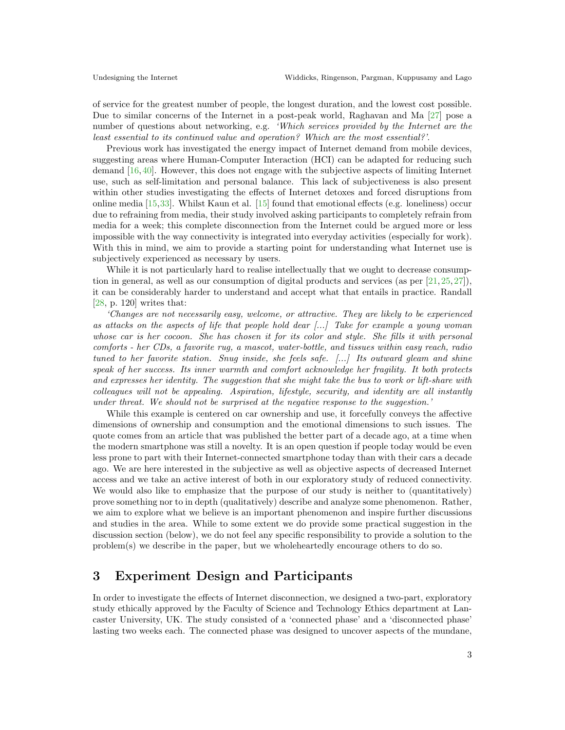of service for the greatest number of people, the longest duration, and the lowest cost possible. Due to similar concerns of the Internet in a post-peak world, Raghavan and Ma [\[27\]](#page-12-5) pose a number of questions about networking, e.g. 'Which services provided by the Internet are the least essential to its continued value and operation? Which are the most essential?'.

Previous work has investigated the energy impact of Internet demand from mobile devices, suggesting areas where Human-Computer Interaction (HCI) can be adapted for reducing such demand [\[16,](#page-12-6)[40\]](#page-13-1). However, this does not engage with the subjective aspects of limiting Internet use, such as self-limitation and personal balance. This lack of subjectiveness is also present within other studies investigating the effects of Internet detoxes and forced disruptions from online media [\[15,](#page-11-3)[33\]](#page-12-7). Whilst Kaun et al. [\[15\]](#page-11-3) found that emotional effects (e.g. loneliness) occur due to refraining from media, their study involved asking participants to completely refrain from media for a week; this complete disconnection from the Internet could be argued more or less impossible with the way connectivity is integrated into everyday activities (especially for work). With this in mind, we aim to provide a starting point for understanding what Internet use is subjectively experienced as necessary by users.

While it is not particularly hard to realise intellectually that we ought to decrease consumption in general, as well as our consumption of digital products and services (as per  $[21,25,27]$  $[21,25,27]$  $[21,25,27]$ ), it can be considerably harder to understand and accept what that entails in practice. Randall [\[28,](#page-12-8) p. 120] writes that:

'Changes are not necessarily easy, welcome, or attractive. They are likely to be experienced as attacks on the aspects of life that people hold dear  $\ldots$  Take for example a young woman whose car is her cocoon. She has chosen it for its color and style. She fills it with personal comforts - her CDs, a favorite rug, a mascot, water-bottle, and tissues within easy reach, radio tuned to her favorite station. Snug inside, she feels safe. [...] Its outward gleam and shine speak of her success. Its inner warmth and comfort acknowledge her fragility. It both protects and expresses her identity. The suggestion that she might take the bus to work or lift-share with colleagues will not be appealing. Aspiration, lifestyle, security, and identity are all instantly under threat. We should not be surprised at the negative response to the suggestion.'

While this example is centered on car ownership and use, it forcefully conveys the affective dimensions of ownership and consumption and the emotional dimensions to such issues. The quote comes from an article that was published the better part of a decade ago, at a time when the modern smartphone was still a novelty. It is an open question if people today would be even less prone to part with their Internet-connected smartphone today than with their cars a decade ago. We are here interested in the subjective as well as objective aspects of decreased Internet access and we take an active interest of both in our exploratory study of reduced connectivity. We would also like to emphasize that the purpose of our study is neither to (quantitatively) prove something nor to in depth (qualitatively) describe and analyze some phenomenon. Rather, we aim to explore what we believe is an important phenomenon and inspire further discussions and studies in the area. While to some extent we do provide some practical suggestion in the discussion section (below), we do not feel any specific responsibility to provide a solution to the problem(s) we describe in the paper, but we wholeheartedly encourage others to do so.

### 3 Experiment Design and Participants

In order to investigate the effects of Internet disconnection, we designed a two-part, exploratory study ethically approved by the Faculty of Science and Technology Ethics department at Lancaster University, UK. The study consisted of a 'connected phase' and a 'disconnected phase' lasting two weeks each. The connected phase was designed to uncover aspects of the mundane,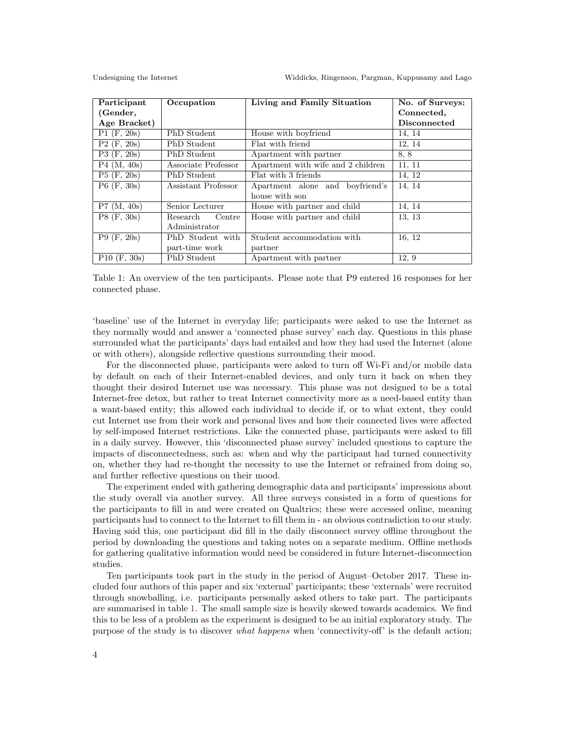<span id="page-3-0"></span>

| Participant              | Occupation          | Living and Family Situation        | No. of Surveys:     |
|--------------------------|---------------------|------------------------------------|---------------------|
| (Gender,                 |                     |                                    | Connected,          |
| Age Bracket)             |                     |                                    | <b>Disconnected</b> |
| $\overline{P1}$ (F, 20s) | PhD Student         | House with boyfriend               | 14, 14              |
| $P2$ (F, 20s)            | PhD Student         | Flat with friend                   | 12, 14              |
| $\overline{P3}$ (F, 20s) | PhD Student         | Apartment with partner             | 8, 8                |
| P4 (M, 40s)              | Associate Professor | Apartment with wife and 2 children | 11, 11              |
| $P5$ (F, 20s)            | PhD Student         | Flat with 3 friends                | 14, 12              |
| $P6$ (F, 30s)            | Assistant Professor | Apartment alone and boyfriend's    | 14, 14              |
|                          |                     | house with son                     |                     |
| P7 (M, 40s)              | Senior Lecturer     | House with partner and child       | 14, 14              |
| $P8$ (F, 30s)            | Research<br>Centre  | House with partner and child       | 13, 13              |
|                          | Administrator       |                                    |                     |
| $\overline{P}9$ (F, 20s) | PhD Student with    | Student accommodation with         | 16, 12              |
|                          | part-time work      | partner                            |                     |
| $P10$ (F, 30s)           | PhD Student         | Apartment with partner             | 12, 9               |

Table 1: An overview of the ten participants. Please note that P9 entered 16 responses for her connected phase.

'baseline' use of the Internet in everyday life; participants were asked to use the Internet as they normally would and answer a 'connected phase survey' each day. Questions in this phase surrounded what the participants' days had entailed and how they had used the Internet (alone or with others), alongside reflective questions surrounding their mood.

For the disconnected phase, participants were asked to turn off Wi-Fi and/or mobile data by default on each of their Internet-enabled devices, and only turn it back on when they thought their desired Internet use was necessary. This phase was not designed to be a total Internet-free detox, but rather to treat Internet connectivity more as a need-based entity than a want-based entity; this allowed each individual to decide if, or to what extent, they could cut Internet use from their work and personal lives and how their connected lives were affected by self-imposed Internet restrictions. Like the connected phase, participants were asked to fill in a daily survey. However, this 'disconnected phase survey' included questions to capture the impacts of disconnectedness, such as: when and why the participant had turned connectivity on, whether they had re-thought the necessity to use the Internet or refrained from doing so, and further reflective questions on their mood.

The experiment ended with gathering demographic data and participants' impressions about the study overall via another survey. All three surveys consisted in a form of questions for the participants to fill in and were created on Qualtrics; these were accessed online, meaning participants had to connect to the Internet to fill them in - an obvious contradiction to our study. Having said this, one participant did fill in the daily disconnect survey offline throughout the period by downloading the questions and taking notes on a separate medium. Offline methods for gathering qualitative information would need be considered in future Internet-disconnection studies.

Ten participants took part in the study in the period of August–October 2017. These included four authors of this paper and six 'external' participants; these 'externals' were recruited through snowballing, i.e. participants personally asked others to take part. The participants are summarised in table [1.](#page-3-0) The small sample size is heavily skewed towards academics. We find this to be less of a problem as the experiment is designed to be an initial exploratory study. The purpose of the study is to discover what happens when 'connectivity-off' is the default action;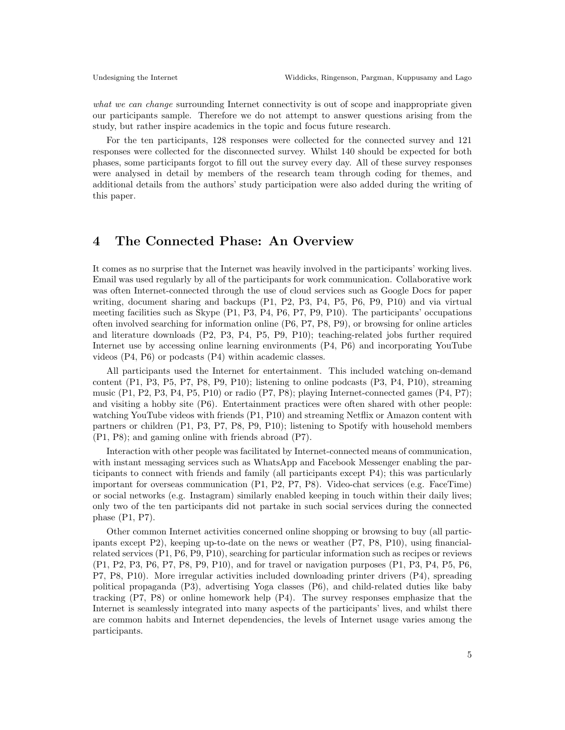what we can change surrounding Internet connectivity is out of scope and inappropriate given our participants sample. Therefore we do not attempt to answer questions arising from the study, but rather inspire academics in the topic and focus future research.

For the ten participants, 128 responses were collected for the connected survey and 121 responses were collected for the disconnected survey. Whilst 140 should be expected for both phases, some participants forgot to fill out the survey every day. All of these survey responses were analysed in detail by members of the research team through coding for themes, and additional details from the authors' study participation were also added during the writing of this paper.

### 4 The Connected Phase: An Overview

It comes as no surprise that the Internet was heavily involved in the participants' working lives. Email was used regularly by all of the participants for work communication. Collaborative work was often Internet-connected through the use of cloud services such as Google Docs for paper writing, document sharing and backups (P1, P2, P3, P4, P5, P6, P9, P10) and via virtual meeting facilities such as Skype (P1, P3, P4, P6, P7, P9, P10). The participants' occupations often involved searching for information online (P6, P7, P8, P9), or browsing for online articles and literature downloads (P2, P3, P4, P5, P9, P10); teaching-related jobs further required Internet use by accessing online learning environments (P4, P6) and incorporating YouTube videos (P4, P6) or podcasts (P4) within academic classes.

All participants used the Internet for entertainment. This included watching on-demand content (P1, P3, P5, P7, P8, P9, P10); listening to online podcasts (P3, P4, P10), streaming music (P1, P2, P3, P4, P5, P10) or radio (P7, P8); playing Internet-connected games (P4, P7); and visiting a hobby site (P6). Entertainment practices were often shared with other people: watching YouTube videos with friends (P1, P10) and streaming Netflix or Amazon content with partners or children (P1, P3, P7, P8, P9, P10); listening to Spotify with household members (P1, P8); and gaming online with friends abroad (P7).

Interaction with other people was facilitated by Internet-connected means of communication, with instant messaging services such as WhatsApp and Facebook Messenger enabling the participants to connect with friends and family (all participants except P4); this was particularly important for overseas communication (P1, P2, P7, P8). Video-chat services (e.g. FaceTime) or social networks (e.g. Instagram) similarly enabled keeping in touch within their daily lives; only two of the ten participants did not partake in such social services during the connected phase (P1, P7).

Other common Internet activities concerned online shopping or browsing to buy (all participants except P2), keeping up-to-date on the news or weather (P7, P8, P10), using financialrelated services (P1, P6, P9, P10), searching for particular information such as recipes or reviews (P1, P2, P3, P6, P7, P8, P9, P10), and for travel or navigation purposes (P1, P3, P4, P5, P6, P7, P8, P10). More irregular activities included downloading printer drivers (P4), spreading political propaganda (P3), advertising Yoga classes (P6), and child-related duties like baby tracking (P7, P8) or online homework help (P4). The survey responses emphasize that the Internet is seamlessly integrated into many aspects of the participants' lives, and whilst there are common habits and Internet dependencies, the levels of Internet usage varies among the participants.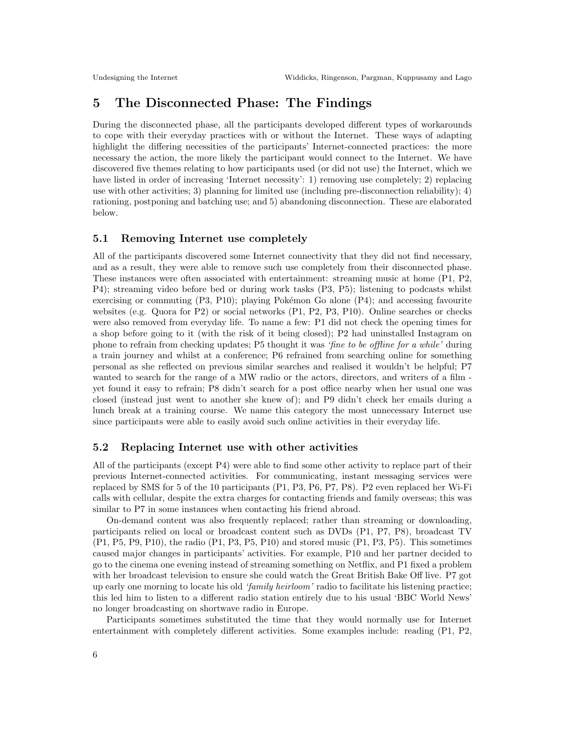# 5 The Disconnected Phase: The Findings

During the disconnected phase, all the participants developed different types of workarounds to cope with their everyday practices with or without the Internet. These ways of adapting highlight the differing necessities of the participants' Internet-connected practices: the more necessary the action, the more likely the participant would connect to the Internet. We have discovered five themes relating to how participants used (or did not use) the Internet, which we have listed in order of increasing 'Internet necessity': 1) removing use completely; 2) replacing use with other activities; 3) planning for limited use (including pre-disconnection reliability); 4) rationing, postponing and batching use; and 5) abandoning disconnection. These are elaborated below.

#### 5.1 Removing Internet use completely

All of the participants discovered some Internet connectivity that they did not find necessary, and as a result, they were able to remove such use completely from their disconnected phase. These instances were often associated with entertainment: streaming music at home (P1, P2, P4); streaming video before bed or during work tasks (P3, P5); listening to podcasts whilst exercising or commuting  $(P3, P10)$ ; playing Pokémon Go alone  $(P4)$ ; and accessing favourite websites (e.g. Quora for P2) or social networks (P1, P2, P3, P10). Online searches or checks were also removed from everyday life. To name a few: P1 did not check the opening times for a shop before going to it (with the risk of it being closed); P2 had uninstalled Instagram on phone to refrain from checking updates; P5 thought it was 'fine to be offline for a while' during a train journey and whilst at a conference; P6 refrained from searching online for something personal as she reflected on previous similar searches and realised it wouldn't be helpful; P7 wanted to search for the range of a MW radio or the actors, directors, and writers of a film yet found it easy to refrain; P8 didn't search for a post office nearby when her usual one was closed (instead just went to another she knew of); and P9 didn't check her emails during a lunch break at a training course. We name this category the most unnecessary Internet use since participants were able to easily avoid such online activities in their everyday life.

#### 5.2 Replacing Internet use with other activities

All of the participants (except P4) were able to find some other activity to replace part of their previous Internet-connected activities. For communicating, instant messaging services were replaced by SMS for 5 of the 10 participants (P1, P3, P6, P7, P8). P2 even replaced her Wi-Fi calls with cellular, despite the extra charges for contacting friends and family overseas; this was similar to P7 in some instances when contacting his friend abroad.

On-demand content was also frequently replaced; rather than streaming or downloading, participants relied on local or broadcast content such as DVDs (P1, P7, P8), broadcast TV (P1, P5, P9, P10), the radio (P1, P3, P5, P10) and stored music (P1, P3, P5). This sometimes caused major changes in participants' activities. For example, P10 and her partner decided to go to the cinema one evening instead of streaming something on Netflix, and P1 fixed a problem with her broadcast television to ensure she could watch the Great British Bake Off live. P7 got up early one morning to locate his old 'family heirloom' radio to facilitate his listening practice; this led him to listen to a different radio station entirely due to his usual 'BBC World News' no longer broadcasting on shortwave radio in Europe.

Participants sometimes substituted the time that they would normally use for Internet entertainment with completely different activities. Some examples include: reading (P1, P2,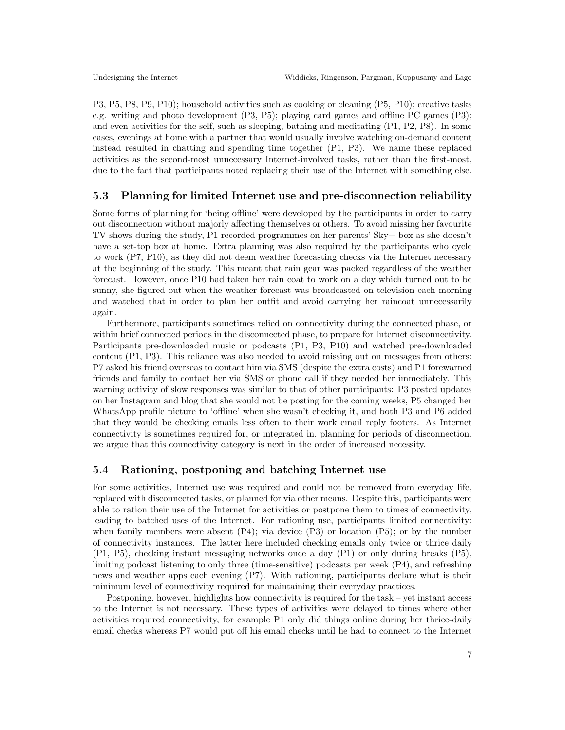P3, P5, P8, P9, P10); household activities such as cooking or cleaning (P5, P10); creative tasks e.g. writing and photo development (P3, P5); playing card games and offline PC games (P3); and even activities for the self, such as sleeping, bathing and meditating (P1, P2, P8). In some cases, evenings at home with a partner that would usually involve watching on-demand content instead resulted in chatting and spending time together (P1, P3). We name these replaced activities as the second-most unnecessary Internet-involved tasks, rather than the first-most, due to the fact that participants noted replacing their use of the Internet with something else.

#### 5.3 Planning for limited Internet use and pre-disconnection reliability

Some forms of planning for 'being offline' were developed by the participants in order to carry out disconnection without majorly affecting themselves or others. To avoid missing her favourite TV shows during the study, P1 recorded programmes on her parents' Sky+ box as she doesn't have a set-top box at home. Extra planning was also required by the participants who cycle to work (P7, P10), as they did not deem weather forecasting checks via the Internet necessary at the beginning of the study. This meant that rain gear was packed regardless of the weather forecast. However, once P10 had taken her rain coat to work on a day which turned out to be sunny, she figured out when the weather forecast was broadcasted on television each morning and watched that in order to plan her outfit and avoid carrying her raincoat unnecessarily again.

Furthermore, participants sometimes relied on connectivity during the connected phase, or within brief connected periods in the disconnected phase, to prepare for Internet disconnectivity. Participants pre-downloaded music or podcasts (P1, P3, P10) and watched pre-downloaded content (P1, P3). This reliance was also needed to avoid missing out on messages from others: P7 asked his friend overseas to contact him via SMS (despite the extra costs) and P1 forewarned friends and family to contact her via SMS or phone call if they needed her immediately. This warning activity of slow responses was similar to that of other participants: P3 posted updates on her Instagram and blog that she would not be posting for the coming weeks, P5 changed her WhatsApp profile picture to 'offline' when she wasn't checking it, and both P3 and P6 added that they would be checking emails less often to their work email reply footers. As Internet connectivity is sometimes required for, or integrated in, planning for periods of disconnection, we argue that this connectivity category is next in the order of increased necessity.

#### 5.4 Rationing, postponing and batching Internet use

For some activities, Internet use was required and could not be removed from everyday life, replaced with disconnected tasks, or planned for via other means. Despite this, participants were able to ration their use of the Internet for activities or postpone them to times of connectivity, leading to batched uses of the Internet. For rationing use, participants limited connectivity: when family members were absent  $(P4)$ ; via device  $(P3)$  or location  $(P5)$ ; or by the number of connectivity instances. The latter here included checking emails only twice or thrice daily (P1, P5), checking instant messaging networks once a day (P1) or only during breaks (P5), limiting podcast listening to only three (time-sensitive) podcasts per week (P4), and refreshing news and weather apps each evening (P7). With rationing, participants declare what is their minimum level of connectivity required for maintaining their everyday practices.

Postponing, however, highlights how connectivity is required for the task – yet instant access to the Internet is not necessary. These types of activities were delayed to times where other activities required connectivity, for example P1 only did things online during her thrice-daily email checks whereas P7 would put off his email checks until he had to connect to the Internet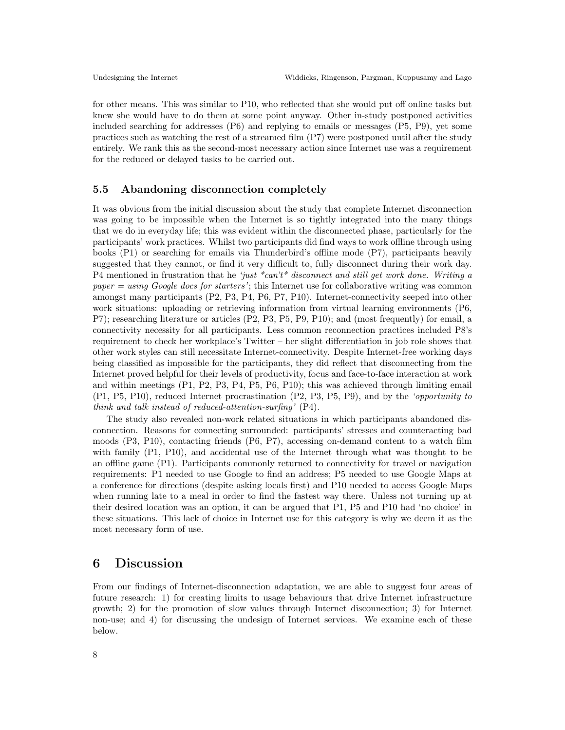for other means. This was similar to P10, who reflected that she would put off online tasks but knew she would have to do them at some point anyway. Other in-study postponed activities included searching for addresses  $(P6)$  and replying to emails or messages  $(P5, P9)$ , yet some practices such as watching the rest of a streamed film (P7) were postponed until after the study entirely. We rank this as the second-most necessary action since Internet use was a requirement for the reduced or delayed tasks to be carried out.

#### 5.5 Abandoning disconnection completely

It was obvious from the initial discussion about the study that complete Internet disconnection was going to be impossible when the Internet is so tightly integrated into the many things that we do in everyday life; this was evident within the disconnected phase, particularly for the participants' work practices. Whilst two participants did find ways to work offline through using books (P1) or searching for emails via Thunderbird's offline mode (P7), participants heavily suggested that they cannot, or find it very difficult to, fully disconnect during their work day. P4 mentioned in frustration that he 'just  $*can't*$  disconnect and still get work done. Writing a paper  $=$  using Google docs for starters'; this Internet use for collaborative writing was common amongst many participants (P2, P3, P4, P6, P7, P10). Internet-connectivity seeped into other work situations: uploading or retrieving information from virtual learning environments (P6, P7); researching literature or articles (P2, P3, P5, P9, P10); and (most frequently) for email, a connectivity necessity for all participants. Less common reconnection practices included P8's requirement to check her workplace's Twitter – her slight differentiation in job role shows that other work styles can still necessitate Internet-connectivity. Despite Internet-free working days being classified as impossible for the participants, they did reflect that disconnecting from the Internet proved helpful for their levels of productivity, focus and face-to-face interaction at work and within meetings (P1, P2, P3, P4, P5, P6, P10); this was achieved through limiting email (P1, P5, P10), reduced Internet procrastination (P2, P3, P5, P9), and by the 'opportunity to think and talk instead of reduced-attention-surfing' (P4).

The study also revealed non-work related situations in which participants abandoned disconnection. Reasons for connecting surrounded: participants' stresses and counteracting bad moods (P3, P10), contacting friends (P6, P7), accessing on-demand content to a watch film with family (P1, P10), and accidental use of the Internet through what was thought to be an offline game (P1). Participants commonly returned to connectivity for travel or navigation requirements: P1 needed to use Google to find an address; P5 needed to use Google Maps at a conference for directions (despite asking locals first) and P10 needed to access Google Maps when running late to a meal in order to find the fastest way there. Unless not turning up at their desired location was an option, it can be argued that P1, P5 and P10 had 'no choice' in these situations. This lack of choice in Internet use for this category is why we deem it as the most necessary form of use.

### 6 Discussion

From our findings of Internet-disconnection adaptation, we are able to suggest four areas of future research: 1) for creating limits to usage behaviours that drive Internet infrastructure growth; 2) for the promotion of slow values through Internet disconnection; 3) for Internet non-use; and 4) for discussing the undesign of Internet services. We examine each of these below.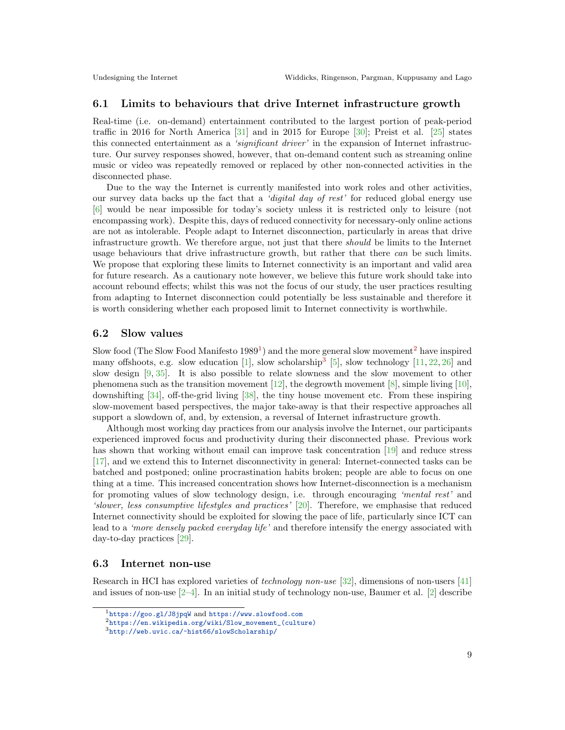#### 6.1 Limits to behaviours that drive Internet infrastructure growth

Real-time (i.e. on-demand) entertainment contributed to the largest portion of peak-period traffic in 2016 for North America [\[31\]](#page-12-9) and in 2015 for Europe [\[30\]](#page-12-10); Preist et al. [\[25\]](#page-12-1) states this connected entertainment as a 'significant driver' in the expansion of Internet infrastructure. Our survey responses showed, however, that on-demand content such as streaming online music or video was repeatedly removed or replaced by other non-connected activities in the disconnected phase.

Due to the way the Internet is currently manifested into work roles and other activities, our survey data backs up the fact that a 'digital day of rest' for reduced global energy use [\[6\]](#page-11-4) would be near impossible for today's society unless it is restricted only to leisure (not encompassing work). Despite this, days of reduced connectivity for necessary-only online actions are not as intolerable. People adapt to Internet disconnection, particularly in areas that drive infrastructure growth. We therefore argue, not just that there should be limits to the Internet usage behaviours that drive infrastructure growth, but rather that there can be such limits. We propose that exploring these limits to Internet connectivity is an important and valid area for future research. As a cautionary note however, we believe this future work should take into account rebound effects; whilst this was not the focus of our study, the user practices resulting from adapting to Internet disconnection could potentially be less sustainable and therefore it is worth considering whether each proposed limit to Internet connectivity is worthwhile.

#### 6.2 Slow values

Slow food (The Slow Food Manifesto  $1989<sup>1</sup>$  $1989<sup>1</sup>$ ) and the more general slow movement<sup>[2](#page-8-1)</sup> have inspired many offshoots, e.g. slow education [\[1\]](#page-11-5), slow scholarship<sup>[3](#page-8-2)</sup> [\[5\]](#page-11-6), slow technology [\[11,](#page-11-7) [22,](#page-12-11) [26\]](#page-12-12) and slow design [\[9,](#page-11-8) [35\]](#page-12-13). It is also possible to relate slowness and the slow movement to other phenomena such as the transition movement [\[12\]](#page-11-9), the degrowth movement [\[8\]](#page-11-10), simple living [\[10\]](#page-11-11), downshifting [\[34\]](#page-12-14), off-the-grid living [\[38\]](#page-13-2), the tiny house movement etc. From these inspiring slow-movement based perspectives, the major take-away is that their respective approaches all support a slowdown of, and, by extension, a reversal of Internet infrastructure growth.

Although most working day practices from our analysis involve the Internet, our participants experienced improved focus and productivity during their disconnected phase. Previous work has shown that working without email can improve task concentration [\[19\]](#page-12-15) and reduce stress [\[17\]](#page-12-16), and we extend this to Internet disconnectivity in general: Internet-connected tasks can be batched and postponed; online procrastination habits broken; people are able to focus on one thing at a time. This increased concentration shows how Internet-disconnection is a mechanism for promoting values of slow technology design, i.e. through encouraging 'mental rest' and 'slower, less consumptive lifestyles and practices' [\[20\]](#page-12-17). Therefore, we emphasise that reduced Internet connectivity should be exploited for slowing the pace of life, particularly since ICT can lead to a *'more densely packed everyday life'* and therefore intensify the energy associated with day-to-day practices [\[29\]](#page-12-18).

#### 6.3 Internet non-use

Research in HCI has explored varieties of technology non-use [\[32\]](#page-12-19), dimensions of non-users [\[41\]](#page-13-3) and issues of non-use [\[2](#page-11-12)[–4\]](#page-11-13). In an initial study of technology non-use, Baumer et al. [\[2\]](#page-11-12) describe

<span id="page-8-0"></span><sup>1</sup><https://goo.gl/J8jpqW> and <https://www.slowfood.com>

<span id="page-8-1"></span><sup>2</sup>[https://en.wikipedia.org/wiki/Slow\\_movement\\_\(culture\)](https://en.wikipedia.org/wiki/Slow_movement_(culture))

<span id="page-8-2"></span><sup>3</sup><http://web.uvic.ca/~hist66/slowScholarship/>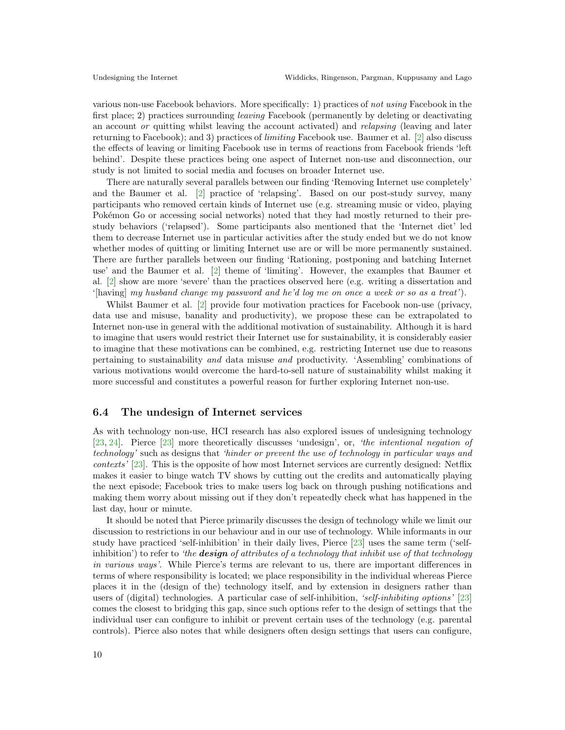various non-use Facebook behaviors. More specifically: 1) practices of not using Facebook in the first place; 2) practices surrounding leaving Facebook (permanently by deleting or deactivating an account *or* quitting whilst leaving the account activated) and *relapsing* (leaving and later returning to Facebook); and 3) practices of limiting Facebook use. Baumer et al. [\[2\]](#page-11-12) also discuss the effects of leaving or limiting Facebook use in terms of reactions from Facebook friends 'left behind'. Despite these practices being one aspect of Internet non-use and disconnection, our study is not limited to social media and focuses on broader Internet use.

There are naturally several parallels between our finding 'Removing Internet use completely' and the Baumer et al. [\[2\]](#page-11-12) practice of 'relapsing'. Based on our post-study survey, many participants who removed certain kinds of Internet use (e.g. streaming music or video, playing Pokémon Go or accessing social networks) noted that they had mostly returned to their prestudy behaviors ('relapsed'). Some participants also mentioned that the 'Internet diet' led them to decrease Internet use in particular activities after the study ended but we do not know whether modes of quitting or limiting Internet use are or will be more permanently sustained. There are further parallels between our finding 'Rationing, postponing and batching Internet use' and the Baumer et al. [\[2\]](#page-11-12) theme of 'limiting'. However, the examples that Baumer et al. [\[2\]](#page-11-12) show are more 'severe' than the practices observed here (e.g. writing a dissertation and '[having] my husband change my password and he'd log me on once a week or so as a treat').

Whilst Baumer et al. [\[2\]](#page-11-12) provide four motivation practices for Facebook non-use (privacy, data use and misuse, banality and productivity), we propose these can be extrapolated to Internet non-use in general with the additional motivation of sustainability. Although it is hard to imagine that users would restrict their Internet use for sustainability, it is considerably easier to imagine that these motivations can be combined, e.g. restricting Internet use due to reasons pertaining to sustainability and data misuse and productivity. 'Assembling' combinations of various motivations would overcome the hard-to-sell nature of sustainability whilst making it more successful and constitutes a powerful reason for further exploring Internet non-use.

#### 6.4 The undesign of Internet services

As with technology non-use, HCI research has also explored issues of undesigning technology [\[23,](#page-12-20) [24\]](#page-12-21). Pierce [\[23\]](#page-12-20) more theoretically discusses 'undesign', or, 'the intentional negation of technology' such as designs that 'hinder or prevent the use of technology in particular ways and contexts' [\[23\]](#page-12-20). This is the opposite of how most Internet services are currently designed: Netflix makes it easier to binge watch TV shows by cutting out the credits and automatically playing the next episode; Facebook tries to make users log back on through pushing notifications and making them worry about missing out if they don't repeatedly check what has happened in the last day, hour or minute.

It should be noted that Pierce primarily discusses the design of technology while we limit our discussion to restrictions in our behaviour and in our use of technology. While informants in our study have practiced 'self-inhibition' in their daily lives, Pierce [\[23\]](#page-12-20) uses the same term ('selfinhibition') to refer to 'the **design** of attributes of a technology that inhibit use of that technology in various ways'. While Pierce's terms are relevant to us, there are important differences in terms of where responsibility is located; we place responsibility in the individual whereas Pierce places it in the (design of the) technology itself, and by extension in designers rather than users of (digital) technologies. A particular case of self-inhibition, 'self-inhibiting options' [\[23\]](#page-12-20) comes the closest to bridging this gap, since such options refer to the design of settings that the individual user can configure to inhibit or prevent certain uses of the technology (e.g. parental controls). Pierce also notes that while designers often design settings that users can configure,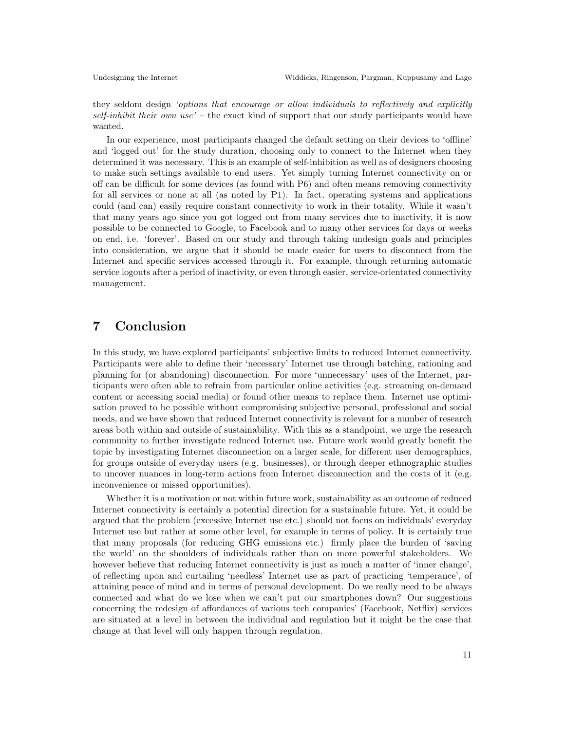they seldom design 'options that encourage or allow individuals to reflectively and explicitly  $self-inhibit$  their own use' – the exact kind of support that our study participants would have wanted.

In our experience, most participants changed the default setting on their devices to 'offline' and 'logged out' for the study duration, choosing only to connect to the Internet when they determined it was necessary. This is an example of self-inhibition as well as of designers choosing to make such settings available to end users. Yet simply turning Internet connectivity on or off can be difficult for some devices (as found with P6) and often means removing connectivity for all services or none at all (as noted by P1). In fact, operating systems and applications could (and can) easily require constant connectivity to work in their totality. While it wasn't that many years ago since you got logged out from many services due to inactivity, it is now possible to be connected to Google, to Facebook and to many other services for days or weeks on end, i.e. 'forever'. Based on our study and through taking undesign goals and principles into consideration, we argue that it should be made easier for users to disconnect from the Internet and specific services accessed through it. For example, through returning automatic service logouts after a period of inactivity, or even through easier, service-orientated connectivity management.

# 7 Conclusion

In this study, we have explored participants' subjective limits to reduced Internet connectivity. Participants were able to define their 'necessary' Internet use through batching, rationing and planning for (or abandoning) disconnection. For more 'unnecessary' uses of the Internet, participants were often able to refrain from particular online activities (e.g. streaming on-demand content or accessing social media) or found other means to replace them. Internet use optimisation proved to be possible without compromising subjective personal, professional and social needs, and we have shown that reduced Internet connectivity is relevant for a number of research areas both within and outside of sustainability. With this as a standpoint, we urge the research community to further investigate reduced Internet use. Future work would greatly benefit the topic by investigating Internet disconnection on a larger scale, for different user demographics, for groups outside of everyday users (e.g. businesses), or through deeper ethnographic studies to uncover nuances in long-term actions from Internet disconnection and the costs of it (e.g. inconvenience or missed opportunities).

Whether it is a motivation or not within future work, sustainability as an outcome of reduced Internet connectivity is certainly a potential direction for a sustainable future. Yet, it could be argued that the problem (excessive Internet use etc.) should not focus on individuals' everyday Internet use but rather at some other level, for example in terms of policy. It is certainly true that many proposals (for reducing GHG emissions etc.) firmly place the burden of 'saving the world' on the shoulders of individuals rather than on more powerful stakeholders. We however believe that reducing Internet connectivity is just as much a matter of 'inner change', of reflecting upon and curtailing 'needless' Internet use as part of practicing 'temperance', of attaining peace of mind and in terms of personal development. Do we really need to be always connected and what do we lose when we can't put our smartphones down? Our suggestions concerning the redesign of affordances of various tech companies' (Facebook, Netflix) services are situated at a level in between the individual and regulation but it might be the case that change at that level will only happen through regulation.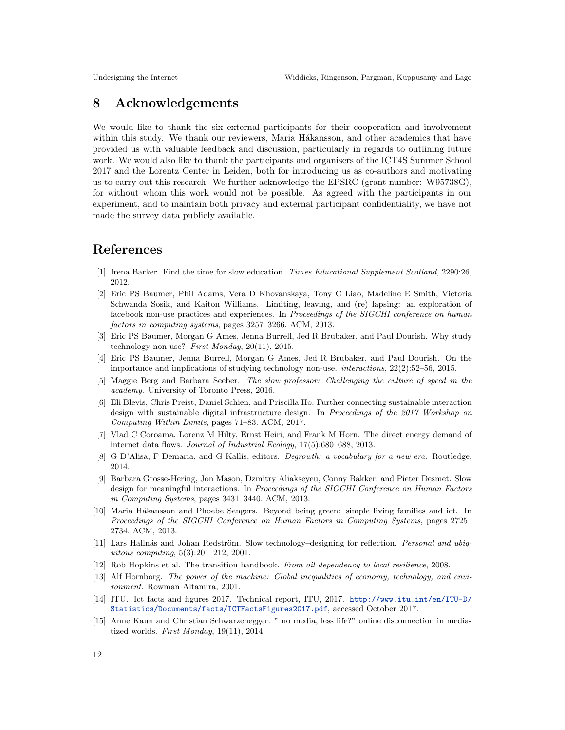# 8 Acknowledgements

We would like to thank the six external participants for their cooperation and involvement within this study. We thank our reviewers, Maria Håkansson, and other academics that have provided us with valuable feedback and discussion, particularly in regards to outlining future work. We would also like to thank the participants and organisers of the ICT4S Summer School 2017 and the Lorentz Center in Leiden, both for introducing us as co-authors and motivating us to carry out this research. We further acknowledge the EPSRC (grant number: W95738G), for without whom this work would not be possible. As agreed with the participants in our experiment, and to maintain both privacy and external participant confidentiality, we have not made the survey data publicly available.

### References

- <span id="page-11-5"></span>[1] Irena Barker. Find the time for slow education. Times Educational Supplement Scotland, 2290:26, 2012.
- <span id="page-11-12"></span>[2] Eric PS Baumer, Phil Adams, Vera D Khovanskaya, Tony C Liao, Madeline E Smith, Victoria Schwanda Sosik, and Kaiton Williams. Limiting, leaving, and (re) lapsing: an exploration of facebook non-use practices and experiences. In Proceedings of the SIGCHI conference on human factors in computing systems, pages 3257–3266. ACM, 2013.
- [3] Eric PS Baumer, Morgan G Ames, Jenna Burrell, Jed R Brubaker, and Paul Dourish. Why study technology non-use? First Monday,  $20(11)$ ,  $2015$ .
- <span id="page-11-13"></span>[4] Eric PS Baumer, Jenna Burrell, Morgan G Ames, Jed R Brubaker, and Paul Dourish. On the importance and implications of studying technology non-use. interactions, 22(2):52–56, 2015.
- <span id="page-11-6"></span>[5] Maggie Berg and Barbara Seeber. The slow professor: Challenging the culture of speed in the academy. University of Toronto Press, 2016.
- <span id="page-11-4"></span>[6] Eli Blevis, Chris Preist, Daniel Schien, and Priscilla Ho. Further connecting sustainable interaction design with sustainable digital infrastructure design. In Proceedings of the 2017 Workshop on Computing Within Limits, pages 71–83. ACM, 2017.
- <span id="page-11-1"></span>[7] Vlad C Coroama, Lorenz M Hilty, Ernst Heiri, and Frank M Horn. The direct energy demand of internet data flows. Journal of Industrial Ecology, 17(5):680–688, 2013.
- <span id="page-11-10"></span>[8] G D'Alisa, F Demaria, and G Kallis, editors. Degrowth: a vocabulary for a new era. Routledge, 2014.
- <span id="page-11-8"></span>[9] Barbara Grosse-Hering, Jon Mason, Dzmitry Aliakseyeu, Conny Bakker, and Pieter Desmet. Slow design for meaningful interactions. In Proceedings of the SIGCHI Conference on Human Factors in Computing Systems, pages 3431–3440. ACM, 2013.
- <span id="page-11-11"></span>[10] Maria Håkansson and Phoebe Sengers. Beyond being green: simple living families and ict. In Proceedings of the SIGCHI Conference on Human Factors in Computing Systems, pages 2725– 2734. ACM, 2013.
- <span id="page-11-7"></span>[11] Lars Hallnäs and Johan Redström. Slow technology–designing for reflection. Personal and ubiquitous computing, 5(3):201–212, 2001.
- <span id="page-11-9"></span>[12] Rob Hopkins et al. The transition handbook. From oil dependency to local resilience, 2008.
- <span id="page-11-2"></span>[13] Alf Hornborg. The power of the machine: Global inequalities of economy, technology, and environment. Rowman Altamira, 2001.
- <span id="page-11-0"></span>[14] ITU. Ict facts and figures 2017. Technical report, ITU, 2017. [http://www.itu.int/en/ITU-D/](http://www.itu.int/en/ITU-D/Statistics/Documents/facts/ICTFactsFigures2017.pdf) [Statistics/Documents/facts/ICTFactsFigures2017.pdf](http://www.itu.int/en/ITU-D/Statistics/Documents/facts/ICTFactsFigures2017.pdf), accessed October 2017.
- <span id="page-11-3"></span>[15] Anne Kaun and Christian Schwarzenegger. " no media, less life?" online disconnection in mediatized worlds. First Monday,  $19(11)$ , 2014.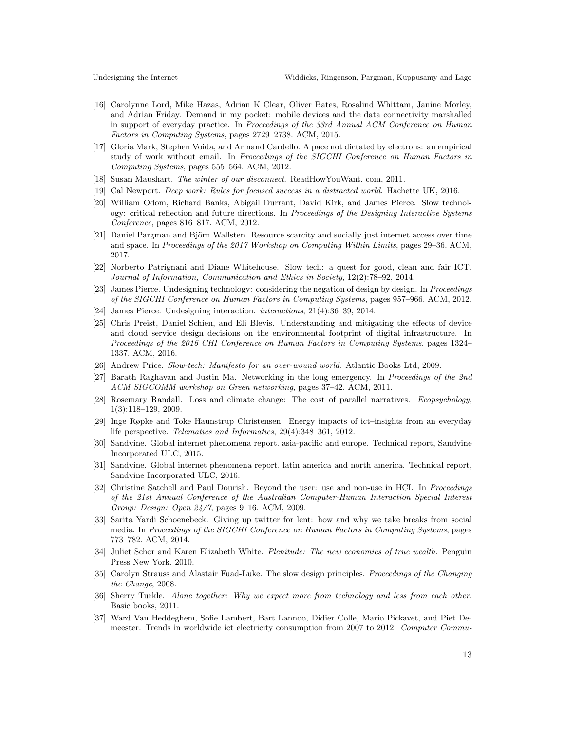- <span id="page-12-6"></span>[16] Carolynne Lord, Mike Hazas, Adrian K Clear, Oliver Bates, Rosalind Whittam, Janine Morley, and Adrian Friday. Demand in my pocket: mobile devices and the data connectivity marshalled in support of everyday practice. In Proceedings of the 33rd Annual ACM Conference on Human Factors in Computing Systems, pages 2729–2738. ACM, 2015.
- <span id="page-12-16"></span>[17] Gloria Mark, Stephen Voida, and Armand Cardello. A pace not dictated by electrons: an empirical study of work without email. In Proceedings of the SIGCHI Conference on Human Factors in Computing Systems, pages 555–564. ACM, 2012.
- <span id="page-12-3"></span>[18] Susan Maushart. The winter of our disconnect. ReadHowYouWant. com, 2011.
- <span id="page-12-15"></span>[19] Cal Newport. Deep work: Rules for focused success in a distracted world. Hachette UK, 2016.
- <span id="page-12-17"></span>[20] William Odom, Richard Banks, Abigail Durrant, David Kirk, and James Pierce. Slow technology: critical reflection and future directions. In Proceedings of the Designing Interactive Systems Conference, pages 816–817. ACM, 2012.
- <span id="page-12-2"></span>[21] Daniel Pargman and Björn Wallsten. Resource scarcity and socially just internet access over time and space. In Proceedings of the 2017 Workshop on Computing Within Limits, pages 29–36. ACM, 2017.
- <span id="page-12-11"></span>[22] Norberto Patrignani and Diane Whitehouse. Slow tech: a quest for good, clean and fair ICT. Journal of Information, Communication and Ethics in Society, 12(2):78–92, 2014.
- <span id="page-12-20"></span>[23] James Pierce. Undesigning technology: considering the negation of design by design. In Proceedings of the SIGCHI Conference on Human Factors in Computing Systems, pages 957–966. ACM, 2012.
- <span id="page-12-21"></span>[24] James Pierce. Undesigning interaction. interactions, 21(4):36–39, 2014.
- <span id="page-12-1"></span>[25] Chris Preist, Daniel Schien, and Eli Blevis. Understanding and mitigating the effects of device and cloud service design decisions on the environmental footprint of digital infrastructure. In Proceedings of the 2016 CHI Conference on Human Factors in Computing Systems, pages 1324– 1337. ACM, 2016.
- <span id="page-12-12"></span>[26] Andrew Price. Slow-tech: Manifesto for an over-wound world. Atlantic Books Ltd, 2009.
- <span id="page-12-5"></span>[27] Barath Raghavan and Justin Ma. Networking in the long emergency. In Proceedings of the 2nd ACM SIGCOMM workshop on Green networking, pages 37–42. ACM, 2011.
- <span id="page-12-8"></span>[28] Rosemary Randall. Loss and climate change: The cost of parallel narratives. Ecopsychology, 1(3):118–129, 2009.
- <span id="page-12-18"></span>[29] Inge Røpke and Toke Haunstrup Christensen. Energy impacts of ict–insights from an everyday life perspective. Telematics and Informatics, 29(4):348–361, 2012.
- <span id="page-12-10"></span>[30] Sandvine. Global internet phenomena report. asia-pacific and europe. Technical report, Sandvine Incorporated ULC, 2015.
- <span id="page-12-9"></span>[31] Sandvine. Global internet phenomena report. latin america and north america. Technical report, Sandvine Incorporated ULC, 2016.
- <span id="page-12-19"></span>[32] Christine Satchell and Paul Dourish. Beyond the user: use and non-use in HCI. In Proceedings of the 21st Annual Conference of the Australian Computer-Human Interaction Special Interest Group: Design: Open 24/7, pages 9–16. ACM, 2009.
- <span id="page-12-7"></span>[33] Sarita Yardi Schoenebeck. Giving up twitter for lent: how and why we take breaks from social media. In Proceedings of the SIGCHI Conference on Human Factors in Computing Systems, pages 773–782. ACM, 2014.
- <span id="page-12-14"></span>[34] Juliet Schor and Karen Elizabeth White. Plenitude: The new economics of true wealth. Penguin Press New York, 2010.
- <span id="page-12-13"></span>[35] Carolyn Strauss and Alastair Fuad-Luke. The slow design principles. Proceedings of the Changing the Change, 2008.
- <span id="page-12-0"></span>[36] Sherry Turkle. Alone together: Why we expect more from technology and less from each other. Basic books, 2011.
- <span id="page-12-4"></span>[37] Ward Van Heddeghem, Sofie Lambert, Bart Lannoo, Didier Colle, Mario Pickavet, and Piet Demeester. Trends in worldwide ict electricity consumption from 2007 to 2012. Computer Commu-